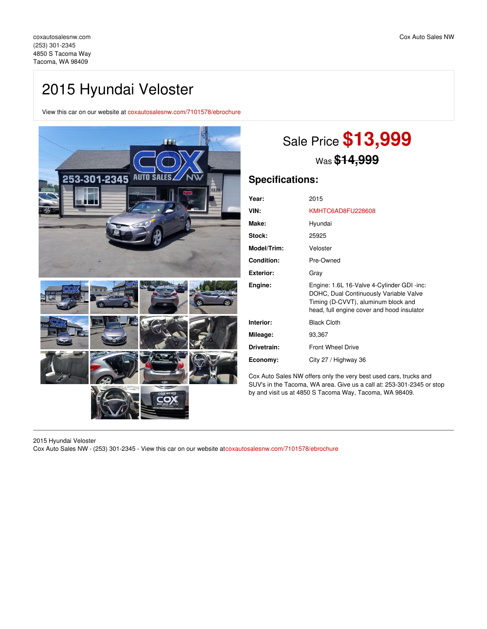## 2015 Hyundai Veloster

View this car on our website at [coxautosalesnw.com/7101578/ebrochure](https://coxautosalesnw.com/vehicle/7101578/2015-hyundai-veloster-tacoma-wa-98409/7101578/ebrochure)



# Sale Price **\$13,999** Was **\$14,999**

## **Specifications:**

| Year:              | 2015                                                                                                                                                                      |
|--------------------|---------------------------------------------------------------------------------------------------------------------------------------------------------------------------|
| VIN:               | KMHTC6AD8FU228608                                                                                                                                                         |
| Make:              | Hyundai                                                                                                                                                                   |
| Stock:             | 25925                                                                                                                                                                     |
| <b>Model/Trim:</b> | Veloster                                                                                                                                                                  |
| Condition:         | Pre-Owned                                                                                                                                                                 |
| Exterior:          | Gray                                                                                                                                                                      |
| Engine:            | Engine: 1.6L 16-Valve 4-Cylinder GDI -inc:<br>DOHC, Dual Continuously Variable Valve<br>Timing (D-CVVT), aluminum block and<br>head, full engine cover and hood insulator |
| Interior:          | <b>Black Cloth</b>                                                                                                                                                        |
| Mileage:           | 93,367                                                                                                                                                                    |
| Drivetrain:        | <b>Front Wheel Drive</b>                                                                                                                                                  |
| Economy:           | City 27 / Highway 36                                                                                                                                                      |

Cox Auto Sales NW offers only the very best used cars, trucks and SUV's in the Tacoma, WA area. Give us a call at: 253-301-2345 or stop by and visit us at 4850 S Tacoma Way, Tacoma, WA 98409.

2015 Hyundai Veloster Cox Auto Sales NW - (253) 301-2345 - View this car on our website at[coxautosalesnw.com/7101578/ebrochure](https://coxautosalesnw.com/vehicle/7101578/2015-hyundai-veloster-tacoma-wa-98409/7101578/ebrochure)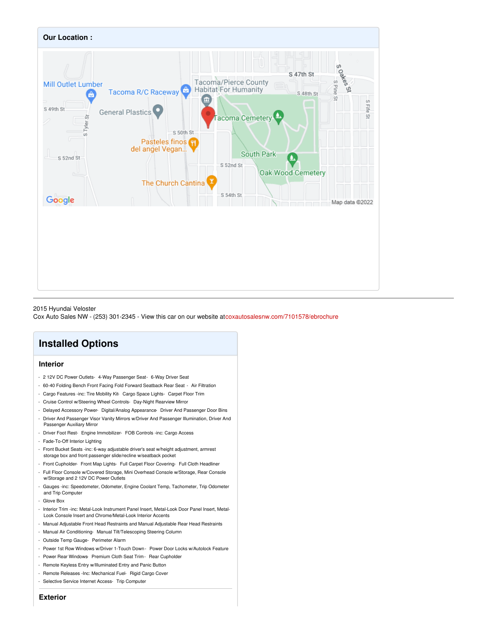

#### 2015 Hyundai Veloster

Cox Auto Sales NW - (253) 301-2345 - View this car on our website at[coxautosalesnw.com/7101578/ebrochure](https://coxautosalesnw.com/vehicle/7101578/2015-hyundai-veloster-tacoma-wa-98409/7101578/ebrochure)

## **Installed Options**

## **Interior**

- 2 12V DC Power Outlets- 4-Way Passenger Seat- 6-Way Driver Seat
- 60-40 Folding Bench Front Facing Fold Forward Seatback Rear Seat Air Filtration
- Cargo Features -inc: Tire Mobility Kit- Cargo Space Lights- Carpet Floor Trim
- Cruise Control w/Steering Wheel Controls- Day-Night Rearview Mirror
- Delayed Accessory Power- Digital/Analog Appearance- Driver And Passenger Door Bins
- Driver And Passenger Visor Vanity Mirrors w/Driver And Passenger Illumination, Driver And Passenger Auxiliary Mirror
- Driver Foot Rest- Engine Immobilizer- FOB Controls -inc: Cargo Access
- Fade-To-Off Interior Lighting
- Front Bucket Seats -inc: 6-way adjustable driver's seat w/height adjustment, armrest storage box and front passenger slide/recline w/seatback pocket
- Front Cupholder- Front Map Lights- Full Carpet Floor Covering- Full Cloth Headliner
- Full Floor Console w/Covered Storage, Mini Overhead Console w/Storage, Rear Console w/Storage and 2 12V DC Power Outlets
- Gauges -inc: Speedometer, Odometer, Engine Coolant Temp, Tachometer, Trip Odometer and Trip Computer
- Glove Box
- Interior Trim -inc: Metal-Look Instrument Panel Insert, Metal-Look Door Panel Insert, Metal-Look Console Insert and Chrome/Metal-Look Interior Accents
- Manual Adjustable Front Head Restraints and Manual Adjustable Rear Head Restraints
- Manual Air Conditioning- Manual Tilt/Telescoping Steering Column
- Outside Temp Gauge- Perimeter Alarm
- Power 1st Row Windows w/Driver 1-Touch Down Power Door Locks w/Autolock Feature
- Power Rear Windows- Premium Cloth Seat Trim- Rear Cupholder
- Remote Keyless Entry w/Illuminated Entry and Panic Button
- Remote Releases -Inc: Mechanical Fuel- Rigid Cargo Cover
- Selective Service Internet Access- Trip Computer

## **Exterior**